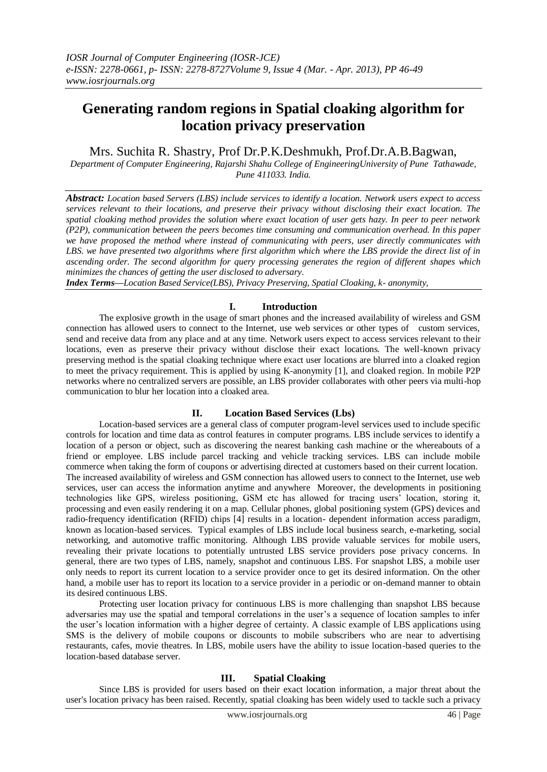# **Generating random regions in Spatial cloaking algorithm for location privacy preservation**

Mrs. Suchita R. Shastry, Prof Dr.P.K.Deshmukh, Prof.Dr.A.B.Bagwan,

*Department of Computer Engineering, Rajarshi Shahu College of EngineeringUniversity of Pune Tathawade, Pune 411033. India.*

*Abstract: Location based Servers (LBS) include services to identify a location. Network users expect to access services relevant to their locations, and preserve their privacy without disclosing their exact location. The spatial cloaking method provides the solution where exact location of user gets hazy. In peer to peer network (P2P), communication between the peers becomes time consuming and communication overhead. In this paper we have proposed the method where instead of communicating with peers, user directly communicates with LBS. we have presented two algorithms where first algorithm which where the LBS provide the direct list of in ascending order. The second algorithm for query processing generates the region of different shapes which minimizes the chances of getting the user disclosed to adversary.*

*Index Terms—Location Based Service(LBS), Privacy Preserving, Spatial Cloaking, k- anonymity,* 

## **I. Introduction**

The explosive growth in the usage of smart phones and the increased availability of wireless and GSM connection has allowed users to connect to the Internet, use web services or other types of custom services, send and receive data from any place and at any time. Network users expect to access services relevant to their locations, even as preserve their privacy without disclose their exact locations. The well-known privacy preserving method is the spatial cloaking technique where exact user locations are blurred into a cloaked region to meet the privacy requirement. This is applied by using K-anonymity [1], and cloaked region. In mobile P2P networks where no centralized servers are possible, an LBS provider collaborates with other peers via multi-hop communication to blur her location into a cloaked area.

## **II. Location Based Services (Lbs)**

Location-based services are a general class of computer program-level services used to include specific controls for location and time data as control features in computer programs. LBS include services to identify a location of a person or object, such as discovering the nearest banking cash machine or the whereabouts of a friend or employee. LBS include parcel tracking and vehicle tracking services. LBS can include mobile commerce when taking the form of coupons or advertising directed at customers based on their current location. The increased availability of wireless and GSM connection has allowed users to connect to the Internet, use web services, user can access the information anytime and anywhere Moreover, the developments in positioning technologies like GPS, wireless positioning, GSM etc has allowed for tracing users' location, storing it, processing and even easily rendering it on a map. Cellular phones, global positioning system (GPS) devices and radio-frequency identification (RFID) chips [4] results in a location- dependent information access paradigm, known as location-based services. Typical examples of LBS include local business search, e-marketing, social networking, and automotive traffic monitoring. Although LBS provide valuable services for mobile users, revealing their private locations to potentially untrusted LBS service providers pose privacy concerns. In general, there are two types of LBS, namely, snapshot and continuous LBS. For snapshot LBS, a mobile user only needs to report its current location to a service provider once to get its desired information. On the other hand, a mobile user has to report its location to a service provider in a periodic or on-demand manner to obtain its desired continuous LBS.

Protecting user location privacy for continuous LBS is more challenging than snapshot LBS because adversaries may use the spatial and temporal correlations in the user's a sequence of location samples to infer the user's location information with a higher degree of certainty. A classic example of LBS applications using SMS is the delivery of mobile coupons or discounts to mobile subscribers who are near to advertising restaurants, cafes, movie theatres. In LBS, mobile users have the ability to issue location-based queries to the location-based database server.

## **III. Spatial Cloaking**

Since LBS is provided for users based on their exact location information, a major threat about the user's location privacy has been raised. Recently, spatial cloaking has been widely used to tackle such a privacy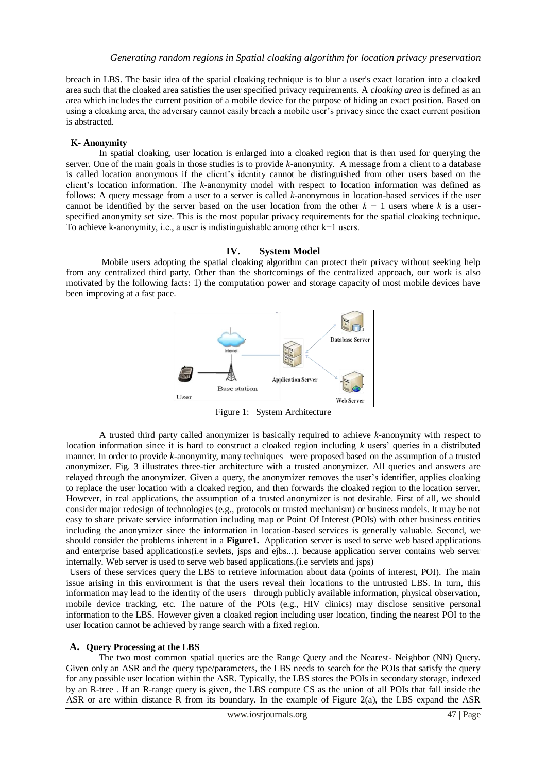breach in LBS. The basic idea of the spatial cloaking technique is to blur a user's exact location into a cloaked area such that the cloaked area satisfies the user specified privacy requirements. A *cloaking area* is defined as an area which includes the current position of a mobile device for the purpose of hiding an exact position. Based on using a cloaking area, the adversary cannot easily breach a mobile user's privacy since the exact current position is abstracted.

#### **K- Anonymity**

In spatial cloaking, user location is enlarged into a cloaked region that is then used for querying the server. One of the main goals in those studies is to provide *k*-anonymity. A message from a client to a database is called location anonymous if the client's identity cannot be distinguished from other users based on the client's location information. The *k*-anonymity model with respect to location information was defined as follows: A query message from a user to a server is called *k*-anonymous in location-based services if the user cannot be identified by the server based on the user location from the other *k −* 1 users where *k* is a userspecified anonymity set size. This is the most popular privacy requirements for the spatial cloaking technique. To achieve k-anonymity, i.e., a user is indistinguishable among other k−1 users.

### **IV. System Model**

Mobile users adopting the spatial cloaking algorithm can protect their privacy without seeking help from any centralized third party. Other than the shortcomings of the centralized approach, our work is also motivated by the following facts: 1) the computation power and storage capacity of most mobile devices have been improving at a fast pace.



Figure 1: System Architecture

A trusted third party called anonymizer is basically required to achieve *k-*anonymity with respect to location information since it is hard to construct a cloaked region including *k* users' queries in a distributed manner. In order to provide *k*-anonymity, many techniques were proposed based on the assumption of a trusted anonymizer. Fig. 3 illustrates three-tier architecture with a trusted anonymizer. All queries and answers are relayed through the anonymizer. Given a query, the anonymizer removes the user's identifier, applies cloaking to replace the user location with a cloaked region, and then forwards the cloaked region to the location server. However, in real applications, the assumption of a trusted anonymizer is not desirable. First of all, we should consider major redesign of technologies (e.g., protocols or trusted mechanism) or business models. It may be not easy to share private service information including map or Point Of Interest (POIs) with other business entities including the anonymizer since the information in location-based services is generally valuable. Second, we should consider the problems inherent in a **Figure1.** Application server is used to serve web based applications and enterprise based applications(i.e sevlets, jsps and ejbs...). because application server contains web server internally. Web server is used to serve web based applications.(i.e servlets and jsps)

Users of these services query the LBS to retrieve information about data (points of interest, POI). The main issue arising in this environment is that the users reveal their locations to the untrusted LBS. In turn, this information may lead to the identity of the users through publicly available information, physical observation, mobile device tracking, etc. The nature of the POIs (e.g., HIV clinics) may disclose sensitive personal information to the LBS. However given a cloaked region including user location, finding the nearest POI to the user location cannot be achieved by range search with a fixed region.

#### **A. Query Processing at the LBS**

The two most common spatial queries are the Range Query and the Nearest- Neighbor (NN) Query. Given only an ASR and the query type/parameters, the LBS needs to search for the POIs that satisfy the query for any possible user location within the ASR. Typically, the LBS stores the POIs in secondary storage, indexed by an R-tree . If an R-range query is given, the LBS compute CS as the union of all POIs that fall inside the ASR or are within distance R from its boundary. In the example of Figure 2(a), the LBS expand the ASR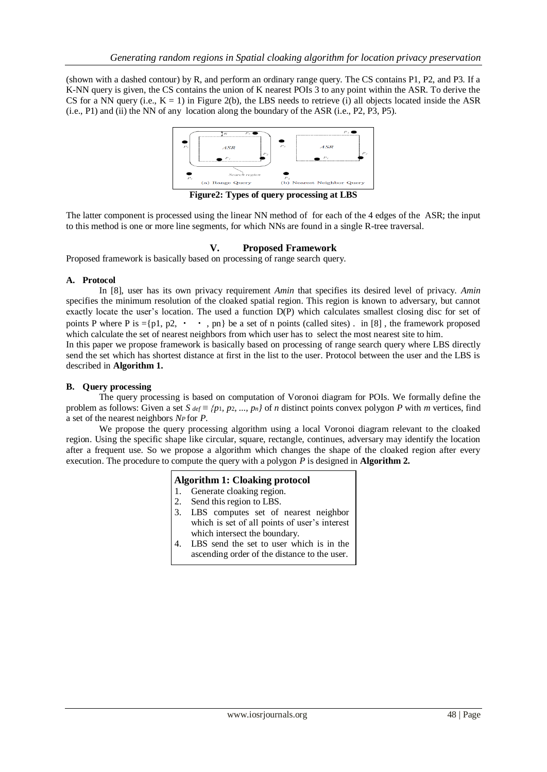(shown with a dashed contour) by R, and perform an ordinary range query. The CS contains P1, P2, and P3. If a K-NN query is given, the CS contains the union of K nearest POIs 3 to any point within the ASR. To derive the CS for a NN query (i.e.,  $K = 1$ ) in Figure 2(b), the LBS needs to retrieve (i) all objects located inside the ASR (i.e., P1) and (ii) the NN of any location along the boundary of the ASR (i.e., P2, P3, P5).



**Figure2: Types of query processing at LBS**

The latter component is processed using the linear NN method of for each of the 4 edges of the ASR; the input to this method is one or more line segments, for which NNs are found in a single R-tree traversal.

## **V. Proposed Framework**

Proposed framework is basically based on processing of range search query.

#### **A. Protocol**

In [8], user has its own privacy requirement *Amin* that specifies its desired level of privacy. *Amin*  specifies the minimum resolution of the cloaked spatial region. This region is known to adversary, but cannot exactly locate the user's location. The used a function D(P) which calculates smallest closing disc for set of points P where P is ={p1, p2,  $\cdot \cdot$ , pn} be a set of n points (called sites). in [8], the framework proposed which calculate the set of nearest neighbors from which user has to select the most nearest site to him.

In this paper we propose framework is basically based on processing of range search query where LBS directly send the set which has shortest distance at first in the list to the user. Protocol between the user and the LBS is described in **Algorithm 1.**

### **B. Query processing**

The query processing is based on computation of Voronoi diagram for POIs. We formally define the problem as follows: Given a set *S*  $def \equiv \{p_1, p_2, ..., p_n\}$  of *n* distinct points convex polygon *P* with *m* vertices, find a set of the nearest neighbors *NP* for *P*.

We propose the query processing algorithm using a local Voronoi diagram relevant to the cloaked region. Using the specific shape like circular, square, rectangle, continues, adversary may identify the location after a frequent use. So we propose a algorithm which changes the shape of the cloaked region after every execution. The procedure to compute the query with a polygon *P* is designed in **Algorithm 2.**

## **Algorithm 1: Cloaking protocol**

- 1. Generate cloaking region.
- 2. Send this region to LBS.
- 3. LBS computes set of nearest neighbor which is set of all points of user's interest which intersect the boundary.
- 4. LBS send the set to user which is in the ascending order of the distance to the user.